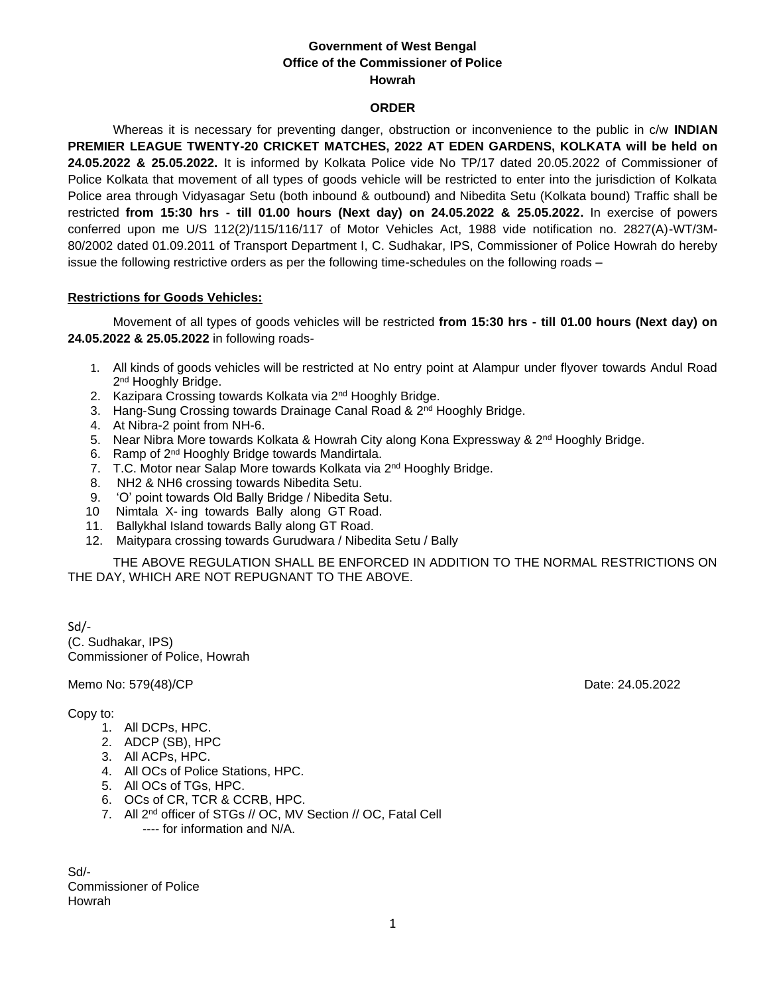# **Government of West Bengal Office of the Commissioner of Police Howrah**

# **ORDER**

Whereas it is necessary for preventing danger, obstruction or inconvenience to the public in c/w **INDIAN PREMIER LEAGUE TWENTY-20 CRICKET MATCHES, 2022 AT EDEN GARDENS, KOLKATA will be held on 24.05.2022 & 25.05.2022.** It is informed by Kolkata Police vide No TP/17 dated 20.05.2022 of Commissioner of Police Kolkata that movement of all types of goods vehicle will be restricted to enter into the jurisdiction of Kolkata Police area through Vidyasagar Setu (both inbound & outbound) and Nibedita Setu (Kolkata bound) Traffic shall be restricted **from 15:30 hrs - till 01.00 hours (Next day) on 24.05.2022 & 25.05.2022.** In exercise of powers conferred upon me U/S 112(2)/115/116/117 of Motor Vehicles Act, 1988 vide notification no. 2827(A)-WT/3M-80/2002 dated 01.09.2011 of Transport Department I, C. Sudhakar, IPS, Commissioner of Police Howrah do hereby issue the following restrictive orders as per the following time-schedules on the following roads –

#### **Restrictions for Goods Vehicles:**

Movement of all types of goods vehicles will be restricted **from 15:30 hrs - till 01.00 hours (Next day) on 24.05.2022 & 25.05.2022** in following roads-

- 1. All kinds of goods vehicles will be restricted at No entry point at Alampur under flyover towards Andul Road 2<sup>nd</sup> Hooghly Bridge.
- 2. Kazipara Crossing towards Kolkata via 2<sup>nd</sup> Hooghly Bridge.
- 3. Hang-Sung Crossing towards Drainage Canal Road & 2<sup>nd</sup> Hooghly Bridge.
- 4. At Nibra-2 point from NH-6.
- 5. Near Nibra More towards Kolkata & Howrah City along Kona Expressway & 2<sup>nd</sup> Hooghly Bridge.
- 6. Ramp of 2nd Hooghly Bridge towards Mandirtala.
- 7. T.C. Motor near Salap More towards Kolkata via 2<sup>nd</sup> Hooghly Bridge.
- 8. NH2 & NH6 crossing towards Nibedita Setu.
- 9. 'O' point towards Old Bally Bridge / Nibedita Setu.
- 10 Nimtala X- ing towards Bally along GT Road.
- 11. Ballykhal Island towards Bally along GT Road.
- 12. Maitypara crossing towards Gurudwara / Nibedita Setu / Bally

THE ABOVE REGULATION SHALL BE ENFORCED IN ADDITION TO THE NORMAL RESTRICTIONS ON THE DAY, WHICH ARE NOT REPUGNANT TO THE ABOVE.

Sd/- (C. Sudhakar, IPS) Commissioner of Police, Howrah

Memo No: 579(48)/CP Date: 24.05.2022

# Copy to:

- 1. All DCPs, HPC.
- 2. ADCP (SB), HPC
- 3. All ACPs, HPC.
- 4. All OCs of Police Stations, HPC.
- 5. All OCs of TGs, HPC.
- 6. OCs of CR, TCR & CCRB, HPC.
- 7. All 2nd officer of STGs // OC, MV Section // OC, Fatal Cell ---- for information and N/A.

Sd/- Commissioner of Police Howrah